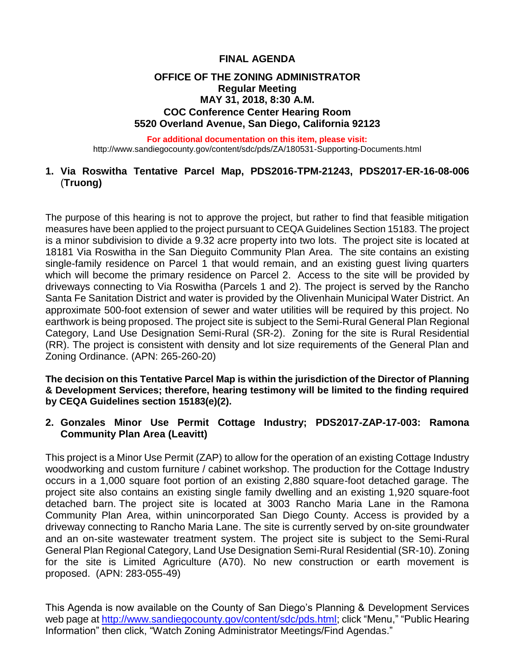# **FINAL AGENDA**

## **OFFICE OF THE ZONING ADMINISTRATOR Regular Meeting MAY 31, 2018, 8:30 A.M. COC Conference Center Hearing Room 5520 Overland Avenue, San Diego, California 92123**

#### **For additional documentation on this item, please visit:**

http://www.sandiegocounty.gov/content/sdc/pds/ZA/180531-Supporting-Documents.html

## **1. Via Roswitha Tentative Parcel Map, PDS2016-TPM-21243, PDS2017-ER-16-08-006** (**Truong)**

The purpose of this hearing is not to approve the project, but rather to find that feasible mitigation measures have been applied to the project pursuant to CEQA Guidelines Section 15183. The project is a minor subdivision to divide a 9.32 acre property into two lots. The project site is located at 18181 Via Roswitha in the San Dieguito Community Plan Area. The site contains an existing single-family residence on Parcel 1 that would remain, and an existing guest living quarters which will become the primary residence on Parcel 2. Access to the site will be provided by driveways connecting to Via Roswitha (Parcels 1 and 2). The project is served by the Rancho Santa Fe Sanitation District and water is provided by the Olivenhain Municipal Water District. An approximate 500-foot extension of sewer and water utilities will be required by this project. No earthwork is being proposed. The project site is subject to the Semi-Rural General Plan Regional Category, Land Use Designation Semi-Rural (SR-2). Zoning for the site is Rural Residential (RR). The project is consistent with density and lot size requirements of the General Plan and Zoning Ordinance. (APN: 265-260-20)

**The decision on this Tentative Parcel Map is within the jurisdiction of the Director of Planning & Development Services; therefore, hearing testimony will be limited to the finding required by CEQA Guidelines section 15183(e)(2).**

### **2. Gonzales Minor Use Permit Cottage Industry; PDS2017-ZAP-17-003: Ramona Community Plan Area (Leavitt)**

This project is a Minor Use Permit (ZAP) to allow for the operation of an existing Cottage Industry woodworking and custom furniture / cabinet workshop. The production for the Cottage Industry occurs in a 1,000 square foot portion of an existing 2,880 square-foot detached garage. The project site also contains an existing single family dwelling and an existing 1,920 square-foot detached barn. The project site is located at 3003 Rancho Maria Lane in the Ramona Community Plan Area, within unincorporated San Diego County. Access is provided by a driveway connecting to Rancho Maria Lane. The site is currently served by on-site groundwater and an on-site wastewater treatment system. The project site is subject to the Semi-Rural General Plan Regional Category, Land Use Designation Semi-Rural Residential (SR-10). Zoning for the site is Limited Agriculture (A70). No new construction or earth movement is proposed. (APN: 283-055-49)

This Agenda is now available on the County of San Diego's Planning & Development Services web page at [http://www.sandiegocounty.gov/content/sdc/pds.html;](http://www.sandiegocounty.gov/content/sdc/pds.html) click "Menu," "Public Hearing Information" then click, "Watch Zoning Administrator Meetings/Find Agendas."